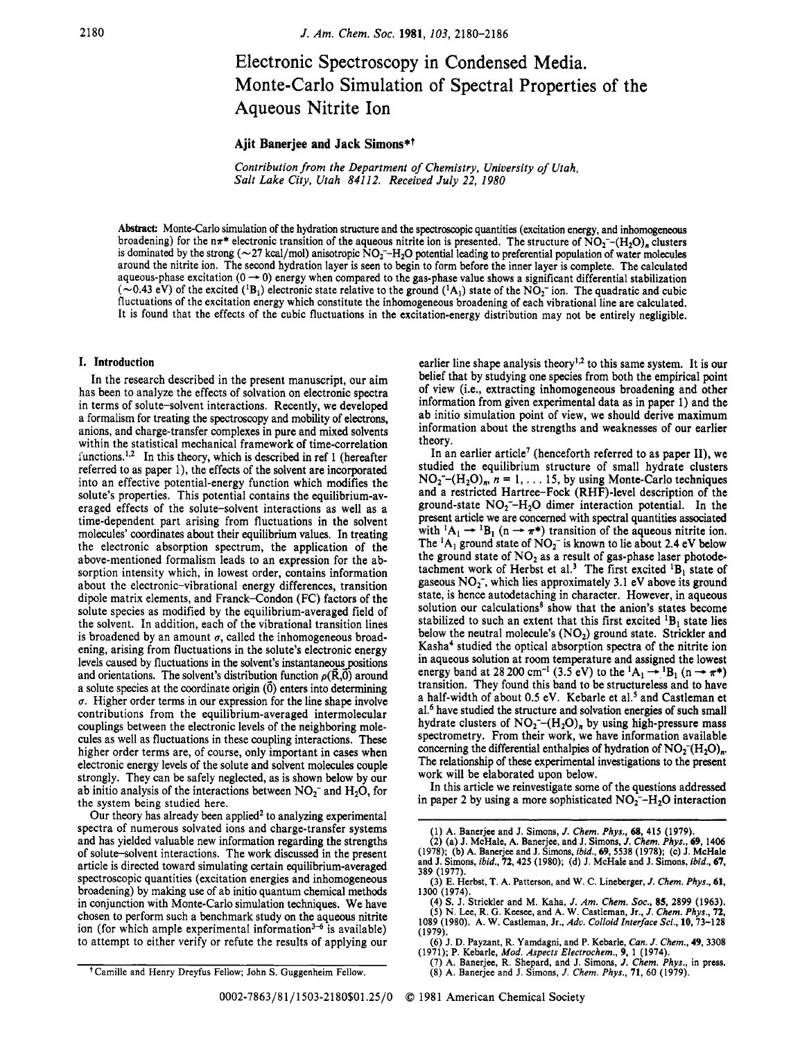# Electronic Spectroscopy in Condensed Media. Monte-Carlo Simulation of Spectral Properties of the Aqueous Nitrite Ion

# **Ajit Banerjee and Jack Simons\*?**

*Contribution from the Department of Chemistry, University of Utah, Salt Lake City, Utah 84112. Received July 22, 1980* 

Abstract: Monte-Carlo simulation of the hydration structure and the spectroscopic quantities (excitation energy, and inhomogeneous broadening) for the  $n\pi^*$  electronic transition of the aqueous nitrite ion is presented. The structure of  $\overline{NO_2^--(H_2O)}$ , clusters is dominated by the strong  $(\sim 27 \text{ kcal/mol})$  anisotropic NO<sub>7</sub>–H<sub>2</sub>O potential leading to preferential population of water molecules around the nitrite ion. The second hydration layer is seen to begin to form before the inner layer is complete. The calculated aqueous-phase excitation  $(0 \rightarrow 0)$  energy when compared to the gas-phase value shows a significant differential stabilization ( $\sim$ 0.43 eV) of the excited (<sup>1</sup>B<sub>1</sub>) electronic state relative to the ground (<sup>1</sup>A<sub>1</sub>) state of the NO<sub>2</sub><sup>-</sup> ion. The quadratic and cubic fluctuations of the excitation energy which constitute the inhomogeneous broadening of each vibrational line are calculated. It is found that the effects of the cubic fluctuations in the excitation-energy distribution may not be entirely negligible.

## I. **Introduction**

In the research described in the present manuscript, our aim has been to analyze the effects of solvation **on** electronic spectra in terms of solute-solvent interactions. Recently, we developed a formalism for treating the spectroscopy and mobility of electrons, anions, and charge-transfer complexes in pure and mixed solvents within the statistical mechanical framework **of** time-correlation functions.<sup>1,2</sup> In this theory, which is described in ref 1 (hereafter referred to as paper **l),** the effects of the solvent are incorporated into an effective potential-energy function which modifies the solute's properties. This potential contains the equilibrium-averaged effects of the solute-solvent interactions as well as a time-dependent part arising from fluctuations in the solvent molecules' coordinates about their equilibrium values. In treating the electronic absorption spectrum, the application of the above-mentioned formalism leads to an expression for the absorption intensity which, in lowest order, contains information about the electronic-vibrational energy differences, transition dipole matrix elements, and Franck-Condon (FC) factors of the solute species as modified by the equilibrium-averaged field of the solvent. In addition, each of the vibrational transition lines is broadened by an amount  $\sigma$ , called the inhomogeneous broadening, arising from fluctuations in the solute's electronic energy levels caused by fluctuations in the solvent's instantaneous positions and orientations. The solvent's distribution function  $\rho(\vec{R},\vec{0})$  around a solute species at the coordinate origin (0) enters into determining *u.* Higher order terms in our expression for the line shape involve contributions from the equilibrium-averaged intermolecular couplings between the electronic levels of the neighboring molecules as well as fluctuations in these coupling interactions. These higher order terms are, of course, only important in cases when electronic energy levels of the solute and solvent molecules couple strongly. They can be safely neglected, as is shown below by our ab initio analysis of the interactions between  $NO<sub>2</sub><sup>-</sup>$  and  $H<sub>2</sub>O$ , for the system being studied here.

Our theory has already been applied<sup>2</sup> to analyzing experimental spectra of numerous solvated ions and charge-transfer systems and has yielded valuable new information regarding the strengths of solute-solvent interactions. The work discussed in the present article is directed toward simulating certain equilibrium-averaged spectroscopic quantities (excitation energies and inhomogeneous broadening) by making use of ab initio quantum chemical methods in conjunction with Monte-Carlo simulation techniques. We have chosen to perform such a benchmark study **on** the aqueous nitrite ion (for which ample experimental information $3-6$  is available) to attempt to either verify or refute the results of applying our

earlier line shape analysis theory<sup>1,2</sup> to this same system. It is our belief that by studying one species from both the empirical point of view (i.e., extracting inhomogeneous broadening and other information from given experimental data as in paper **1)** and the ab initio simulation point of view, we should derive maximum information about the strengths and weaknesses of our earlier theory.

**In** an earlier article' (henceforth referred to as paper 11), we studied the equilibrium structure of small hydrate clusters  $NO_2^-$ - $(H_2O)_n$ ,  $n = 1, \ldots 15$ , by using Monte-Carlo techniques and a restricted Hartree-Fock (RHF)-level description of the ground-state  $NO<sub>2</sub> - H<sub>2</sub>O$  dimer interaction potential. In the present article we are concemed with spectral quantities associated ground-state  $NO_2^-$ -H<sub>2</sub>O dimer interaction potential. In the present article we are concerned with spectral quantities associated with  ${}^1A_1 \rightarrow {}^1B_1$  (n  $\rightarrow \pi^*$ ) transition of the aqueous nitrite ion. The  ${}^1A_1$  gro the ground state of NO<sub>2</sub> as a result of gas-phase laser photodetachment work of Herbst et al.<sup>3</sup> The first excited  ${}^{1}B_{1}$  state of gaseous  $NO<sub>2</sub>$ , which lies approximately 3.1 eV above its ground state, is hence autodetaching in character. However, in aqueous solution our calculations<sup>8</sup> show that the anion's states become stabilized to such an extent that this first excited  ${}^{1}B_{1}$  state lies below the neutral molecule's (NO<sub>2</sub>) ground state. Strickler and Kasha4 studied the optical absorption spectra of the nitrite ion in aqueous solution at room temperature and assigned the lowest Kasha<sup>4</sup> studied the optical absorption spectra of the nitrite ion<br>in aqueous solution at room temperature and assigned the lowest<br>energy band at 28 200 cm<sup>-1</sup> (3.5 eV) to the <sup>1</sup>A<sub>1</sub>  $\rightarrow$  <sup>1</sup>B<sub>1</sub> (n  $\rightarrow \pi^*$ ) energy band at 28 200 cm<sup>-1</sup> (3.5 eV) to the <sup>1</sup>A<sub>1</sub>  $\rightarrow$  <sup>1</sup>B<sub>1</sub> (n  $\rightarrow \pi$ \*) transition. They found this band to be structureless and to have a half-width of about 0.5 eV. Kebarle et al.<sup>5</sup> and Castleman et al.<sup>6</sup> have studied the structure and solvation energies of such small hydrate clusters of  $NO_2^--(H_2O)_n$  by using high-pressure mass spectrometry. From their work, we have information available concerning the differential enthalpies of hydration of  $NO<sub>2</sub><sup>-</sup>(H<sub>2</sub>O)<sub>n</sub>$ . The relationship of these experimental investigations to the present work will be elaborated upon below.

In this article we reinvestigate some of the questions addressed in paper 2 by using a more sophisticated  $NO<sub>2</sub><sup>-</sup>-H<sub>2</sub>O$  interaction

**<sup>(1)</sup> A.** Banerjee and J. Simons, *J. Chem. Phys.,* **68,415 (1979).** 

<sup>(2) (</sup>a) J. McHale, A. Banerjee, and J. Simons, J. Chem. Phys., 69, 1406 (1978); (b) A. Banerjee and J. Simons, *ibid.*, 69, 5538 (1978); (c) J. McHale and J. Simons, *ibid.*, 72, 425 (1980); (d) J. McHale and J. Simons, **389 (1977).** 

**<sup>(3)</sup> E.** Herbst, T. A. Patterson, and W. C. Lineberger, *J. Chem. Phys.,* **61,** 

<sup>1300 (1974).&</sup>lt;br>
(4) S. J. Strickler and M. Kaha, *J. Am. Chem. Soc.*, **85**, 2899 (1963).<br>
(5) N. Lee, R. G. Keesee, and A. W. Castleman, Jr., *J. Chem. Phys.*, **72,**<br>
1089 (1980). A. W. Castleman, Jr., *Adv. Colloid Interfac* 

**<sup>(6)</sup>** J. D. Payzant, R. Yamdagni, and P. Kebarle, *Can. J. Chem.,* **49,3308 (1971);** P. Kebarle, *Mod. Aspects Electrochem., 9,* **1 (1974). (7)** A. Banerjee, R. Shepard, and J. Simons, *J. Chem. Phys.,* in press.

**<sup>(8)</sup>** A. Banerjee and J. Simons, *J. Chem. Phys.,* **71,60 (1979).** 

Camille and Henry Dreyfus Fellow; John **S.** Guggenheim Fellow.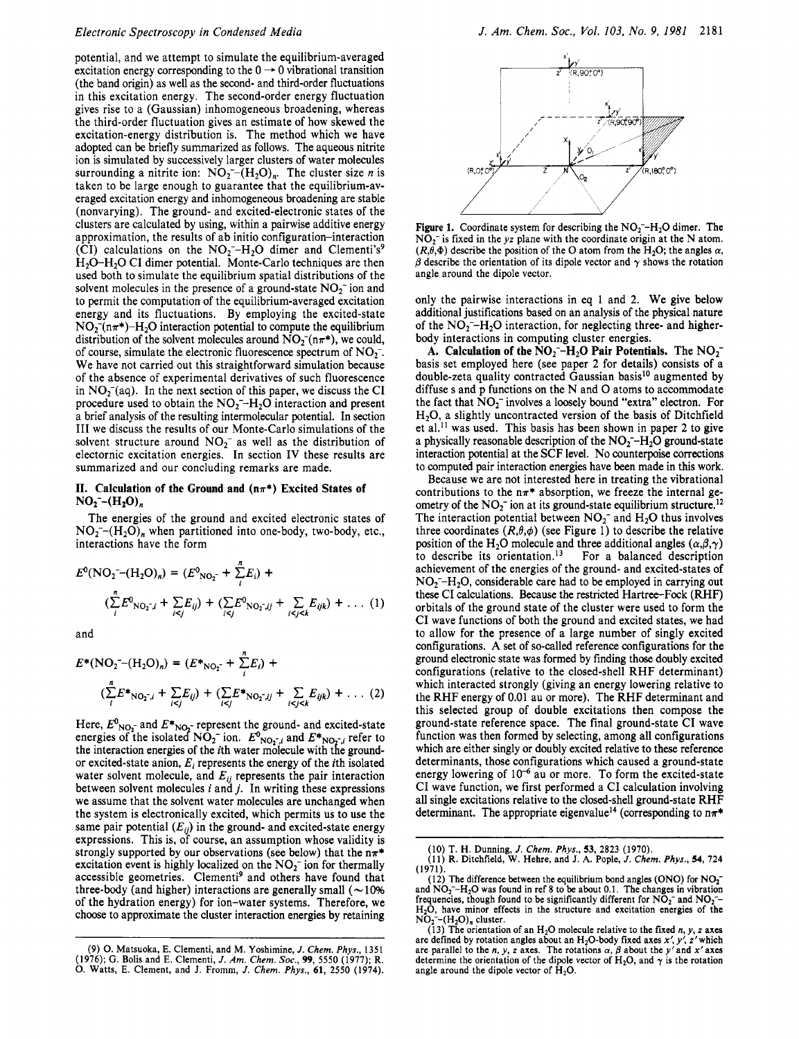#### *Electronic Spectroscopy in Condensed Media*

potential, and we attempt to simulate the equilibrium-averaged potential, and we attempt to simulate the equilibrium-averaged<br>excitation energy corresponding to the  $0 \rightarrow 0$  vibrational transition<br>(the band origin) as well as the second, and third order fluctuations (the band origin) as well as the second- and third-order fluctuations in this excitation energy. The second-order energy fluctuation gives rise to a (Gaussian) inhomogeneous broadening, whereas the third-order fluctuation gives an estimate of how skewed the excitation-energy distribution **fs.** The method which we have adopted can be briefly summarized as follows. The aqueous nitrite ion is simulated by successively larger clusters of water molecules surrounding a nitrite ion:  $NO_2^--(H_2O)_n$ . The cluster size *n* is taken to be large enough to guarantee that the equilibrium-averaged excitation energy and inhomogeneous broadening are stable (nonvarying). The ground- and excited-electronic states of the clusters are calculated by using, within a pairwise additive energy approximation, the results of ab initio configuration-interaction (CI) calculations on the  $NO_2^-$ -H<sub>2</sub>O dimer and Clementi's<sup>9</sup> H<sub>2</sub>O-H<sub>2</sub>O CI dimer potential. Monte-Carlo techniques are then used both to simulate the equilibrium spatial distributions of the solvent molecules in the presence of a ground-state  $NO<sub>2</sub>$  ion and to permit the computation of the equilibrium-averaged excitation energy and its fluctuations. By employing the excited-state  $NO<sub>2</sub>(n\pi*)-H<sub>2</sub>O$  interaction potential to compute the equilibrium distribution of the solvent molecules around  $NO<sub>2</sub>^-(n\pi^*)$ , we could, of course, simulate the electronic fluorescence spectrum of  $NO<sub>2</sub>$ . We have not carried out this straightforward simulation because of the absence of experimental derivatives of such fluorescence in  $NO<sub>2</sub><sup>-</sup>(aq)$ . In the next section of this paper, we discuss the CI procedure used to obtain the  $NO_2^-$ -H<sub>2</sub>O interaction and present a brief analysis of the resulting intermolecular potential. In section I11 we discuss the results of our Monte-Carlo simulations of the solvent structure around  $NO_2^-$  as well as the distribution of electornic excitation energies. **In** section IV these results are summarized and our concluding remarks are made.

### **11.** Calculation of the Ground and  $(n\pi^*)$  Excited States of  $NO_2^--(H_2O)_n$

The energies of the ground and excited electronic states of  $NO_2^--(H_2O)_n$  when partitioned into one-body, two-body, etc., interactions have the form

$$
E^{0}(\text{NO}_{2}^{--}(\text{H}_{2}\text{O})_{n}) = (E^{0}_{\text{NO}_{2}^{-}} + \sum_{i}^{n} E_{i}) +
$$
  

$$
(\sum_{i}^{n} E^{0}_{\text{NO}_{2}^{-},i} + \sum_{i < j} E_{ij}) + (\sum_{i < j} E^{0}_{\text{NO}_{2}^{-},ij} + \sum_{i < j < k} E_{ijk}) + \dots (1)
$$

and

$$
E^*(\text{NO}_2^{\text{-}}(\text{H}_2\text{O})_n) = (E^*\text{NO}_2^{\text{-}} + \sum_{i}^{n} E_i) +
$$
  

$$
(\sum_{i}^{n} E^*\text{NO}_2^{\text{-}}_{i} + \sum_{i < j} E_{ij}) + (\sum_{i < j} E^*\text{NO}_2^{\text{-}}_{i}j + \sum_{i < j < k} E_{ijk}) + \dots (2)
$$

Here,  $E_{NO_2^-}$  and  $E_{NO_2^-}$  represent the ground- and excited-state energies of the isolated  $NO_2^-$  ion.  $E^0_{NO_2^-}$  and  $E^*_{NO_2^-}$  refer to the interaction energies of the *i*th water molecule with the groundor excited-state anion, *Ei* represents the energy of the ith isolated water solvent molecule, and  $E_{ij}$  represents the pair interaction between solvent molecules i and *j.* In writing these expressions we assume that the solvent water molecules are unchanged when the system is electronically excited, which permits us to use the same pair potential  $(E_{ii})$  in the ground- and excited-state energy expressions. This is, of course, an assumption whose validity is strongly supported by our observations (see below) that the  $n\pi^*$ excitation event is highly localized on the  $NO<sub>2</sub><sup>-</sup>$  ion for thermally accessible geometries. Clementi9 and others have found that three-body (and higher) interactions are generally small  $(\sim 10\%$ of the hydration energy) for ion-water systems. Therefore, we choose to approximate the cluster interaction energies by retaining



Figure 1. Coordinate system for describing the  $NO<sub>2</sub><sup>-</sup>-H<sub>2</sub>O$  dimer. The  $NO_2$ <sup>-</sup> is fixed in the *yz* plane with the coordinate origin at the N atom.  $(R, \theta, \Phi)$  describe the position of the O atom from the H<sub>2</sub>O; the angles  $\alpha$ ,  $\beta$  describe the orientation of its dipole vector and  $\gamma$  shows the rotation angle around the dipole vector.

only the pairwise interactions in eq 1 and 2. We give below additional justifications based on an analysis of the physical nature of the  $NO<sub>2</sub>-H<sub>2</sub>O$  interaction, for neglecting three- and higherbody interactions in computing cluster energies.

A. Calculation of the NO<sub>2</sub><sup>-</sup>H<sub>2</sub>O Pair Potentials. The NO<sub>2</sub><sup>-</sup> basis set employed here (see paper **2** for details) consists of a double-zeta quality contracted Gaussian basis<sup>10</sup> augmented by diffuse **<sup>s</sup>**and p functions on the N and 0 atoms to accommodate the fact that  $NO<sub>2</sub>$  involves a loosely bound "extra" electron. For  $H<sub>2</sub>O$ , a slightly uncontracted version of the basis of Ditchfield et al." was used. This basis has been shown in paper **2** to give a physically reasonable description of the  $NO<sub>2</sub>-H<sub>2</sub>O$  ground-state interaction potential at the SCF level. No counterpoise corrections to computed pair interaction energies have **been** made in this work.

Because we are not interested here in treating the vibrational contributions to the  $n\pi^*$  absorption, we freeze the internal geometry of the  $NO_2^-$  ion at its ground-state equilibrium structure.<sup>12</sup> The interaction potential between  $NO_2^-$  and  $H_2O$  thus involves three coordinates  $(R, \theta, \phi)$  (see Figure 1) to describe the relative position of the H<sub>2</sub>O molecule and three additional angles  $(\alpha, \beta, \gamma)$ to describe its orientation.<sup>13</sup> For a balanced description achievement of the energies of the ground- and excited-states of  $NO<sub>2</sub>-H<sub>2</sub>O$ , considerable care had to be employed in carrying out these CI calculations. Because the restricted Hartree-Fock (RHF) orbitals of the ground state of the cluster were used to form the CI wave functions of both the ground and excited states, we had to allow for the presence of a large number of singly excited configurations. **A** set of so-called reference configurations for the ground electronic state was formed by finding those doubly excited configurations (relative to the closed-shell RHF determinant) which interacted strongly (giving an energy lowering relative to the RHF energy of 0.01 au or more). The RHF determinant and this selected group of double excitations then compose the ground-state reference space. The final ground-state CI wave function was then formed by selecting, among all configurations which are either singly or doubly excited relative to these reference determinants, those configurations which caused a ground-state energy lowering of  $10^{-6}$  au or more. To form the excited-state CI wave function, we first performed a CI calculation involving all single excitations relative to the closed-shell ground-state RHF determinant. The appropriate eigenvalue<sup>14</sup> (corresponding to  $n\pi^*$ 

<sup>(9) 0.</sup> Matsuoka, E. Clementi, and M. Yoshimine, *J. Chem. Phys.,* <sup>1351</sup> (1976); *G.* Bolis and E. Clementi, *J.* Am. *Chem. Soc., 99, 5550* (1977); R. 0. Watts, E. Clement, and J. Fromm, *J. Chem. Phys.,* **61,** 2550 (1974).

**<sup>(10)</sup> T. H. Dunning,** *J. Chem. Phys.***, 53, 2823 (1970).<br>
<b>(11) R. Ditchfield, W. Hehre, and J. A. Pople,** *J. Chem. Phys.***, 54, 724<br>
(1971).** 

<sup>(12)</sup> The difference between the equilibrium bond angles (ONO) for  $NO<sub>2</sub>$ <sup>-</sup> and  $NO_2-H_2O$  was found in ref 8 to be about 0.1. The changes in vibration frequencies, though found to be significantly different for  $N\overline{O}_2$  and  $NO_2$  $H_2O$ , have minor effects in the structure and excitation energies of the  $NO_2^-(H_2O)$ <sub>n</sub> cluster.

<sup>(13)</sup> The orientation of an H<sub>2</sub>O molecule relative to the fixed n, y, z axes<br>are defined by rotation angles about an H<sub>2</sub>O-body fixed axes x', y', z' which<br>are parallel to the n, y, z axes. The rotations  $\alpha$ ,  $\beta$  about angle around the dipole vector of  $H_2O$ .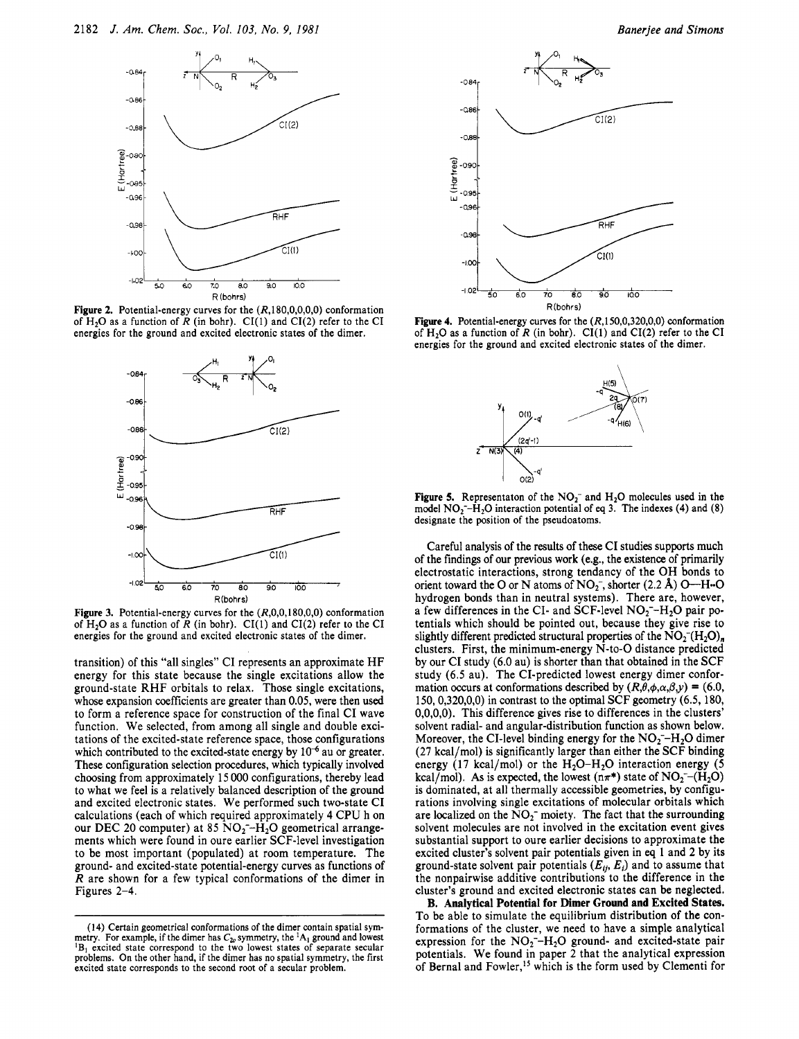

**Figure 2.** Potential-energy curves for the (R,180,0,0,0,0) conformation of  $H_2O$  as a function of R (in bohr). CI(1) and CI(2) refer to the CI energies for the ground and excited electronic states of the dimer.



**Figure 3.** Potential-energy curves for the (R,0,0,180,0,0) conformation of  $H_2O$  as a function of  $R$  (in bohr). CI(1) and CI(2) refer to the CI energies for the ground and excited electronic states of the dimer.

transition) of this "all singles" CI represents an approximate HF energy for this state because the single excitations allow the ground-state RHF orbitals to relax. Those single excitations, whose expansion coefficients are greater than 0.05, were then used to form a reference space for construction of the final CI wave function. We selected, from among all single and double excitations of the excited-state reference space, those configurations which contributed to the excited-state energy by  $10^{-6}$  au or greater. These configuration selection procedures, which typically involved choosing from approximately 15 000 configurations, thereby lead to what we feel is a relatively balanced description of the ground and excited electronic states. We performed such two-state CI calculations (each of which required approximately 4 CPU h on our DEC 20 computer) at 85  $NO<sub>2</sub>-H<sub>2</sub>O$  geometrical arrangements which were found in oure earlier SCF-level investigation to be most important (populated) at room temperature. The ground- and excited-state potential-energy curves as functions of *R* are shown for a few typical conformations of the dimer in Figures 2-4.



Figure 4. Potential-energy curves for the  $(R,150,0,320,0,0)$  conformation of  $H_2O$  as a function of R (in bohr). CI(1) and CI(2) refer to the CI energies for the ground and excited electronic states of the dimer.



**Figure 5.** Representaton of the NO<sub>2</sub><sup>-</sup> and H<sub>2</sub>O molecules used in the model NO<sub>2</sub><sup>-</sup>-H<sub>2</sub>O interaction potential of eq 3. The indexes (4) and (8) designate the position of the pseudoatoms.

Careful analysis of the results of these CI studies supports much of the findings of our previous work (e.g., the existence of primarily electrostatic interactions, strong tendancy of the OH bonds to orient toward the O or N atoms of  $NO_2^-$ , shorter (2.2 Å) O—H<sub>"</sub>O hydrogen bonds than in neutral systems). There are, however, a few differences in the CI- and SCF-level  $NO<sub>2</sub>-H<sub>2</sub>O$  pair potentials which should be pointed out, because they give rise to slightly different predicted structural properties of the  $NO_2^- (H_2O)_n$ clusters. First, the minimum-energy N-to-0 distance predicted by our CI study (6.0 au) is shorter than that obtained in the SCF study (6.5 au). The CI-predicted lowest energy dimer conformation occurs at conformations described by  $(R, \theta, \phi, \alpha, \beta, y) = (6.0,$ 150,0,320,0,0) in contrast to the optimal SCF geometry (6.5, 180, **O,O,O,O).** This difference gives rise to differences in the clusters' solvent radial- and angular-distribution function as shown below. Moreover, the CI-level binding energy for the  $NO<sub>2</sub>-H<sub>2</sub>O$  dimer (27 kcal/mol) is significantly larger than either the SCF binding energy (17 kcal/mol) or the  $H_2O-H_2O$  interaction energy (5 kcal/mol). As is expected, the lowest  $(n\pi^*)$  state of  $NO_2^-$ - $(H_2O)$ is dominated, at all thermally accessible geometries, by configurations involving single excitations of molecular orbitals which are localized on the NO<sub>2</sub><sup>-</sup> moiety. The fact that the surrounding solvent molecules are not involved in the excitation event gives substantial support to oure earlier decisions to approximate the excited cluster's solvent pair potentials given in *eq* 1 and 2 by its ground-state solvent pair potentials  $(E_{ij}, E_i)$  and to assume that the nonpairwise additive contributions to the difference in the cluster's ground and excited electronic states can be neglected.

**B. Analytical Potential for Dimer Ground and Excited States.**  To be able to simulate the equilibrium distribution of the conformations of the cluster, we need to have a simple analytical expression for the  $NO_2^-$ -H<sub>2</sub>O ground- and excited-state pair potentials. We found in paper **2** that the analytical expression of Bernal and Fowler,'s which is the form used by Clementi for

<sup>(14)</sup> Certain geometrical conformations of the dimer contain spatial symmetry. For example, if the dimer has  $C_{2\nu}$  symmetry, the <sup>1</sup>A<sub>1</sub> ground and lowest B<sub>1</sub> excited state correspond to the two lowest states of separate secular problems. **On** the other hand, if the dimer has no spatial symmetry, the first excited state corresponds to the second root of a secular problem.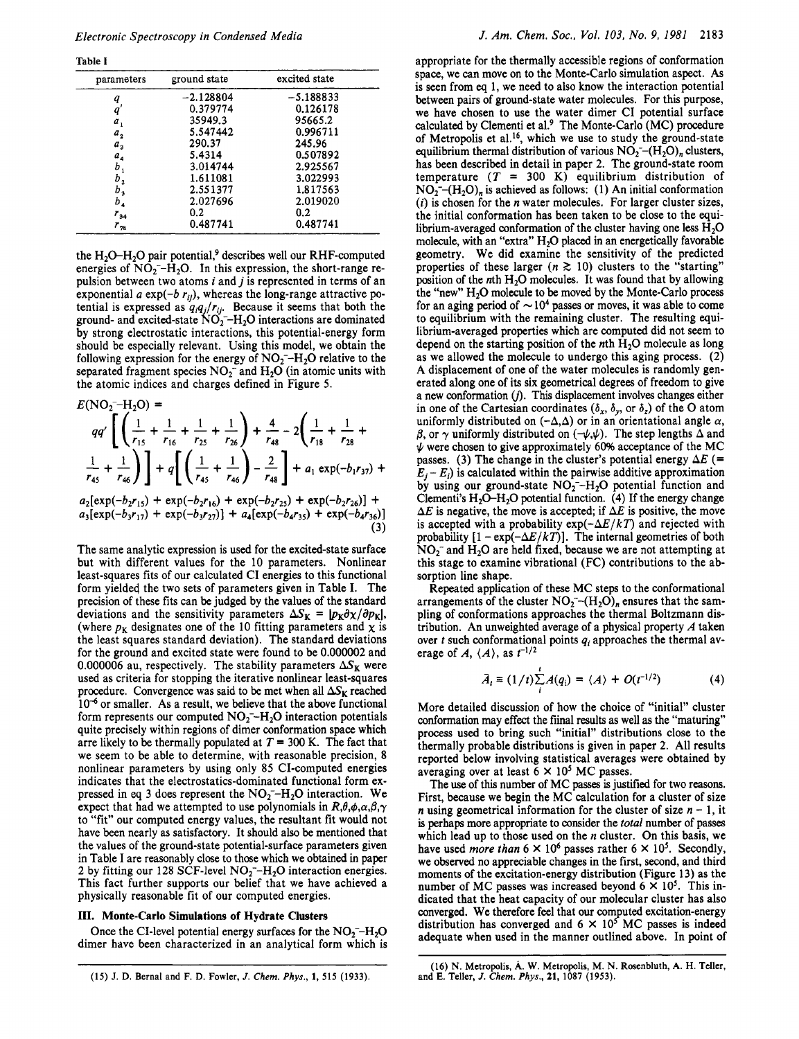Table **I** 

| parameters                  | ground state | excited state |  |
|-----------------------------|--------------|---------------|--|
| q                           | $-2.128804$  | $-5.188833$   |  |
| q                           | 0.379774     | 0.126178      |  |
| а,                          | 35949.3      | 95665.2       |  |
| a,                          | 5.547442     | 0.996711      |  |
| $a_{3}$                     | 290.37       | 245.96        |  |
| $a_{4}$                     | 5.4314       | 0.507892      |  |
| $b_{1}$                     | 3.014744     | 2.925567      |  |
| b,                          | 1.611081     | 3.022993      |  |
| $b_{\scriptscriptstyle{3}}$ | 2.551377     | 1.817563      |  |
| $b_{\rm a}$                 | 2.027696     | 2.019020      |  |
| $r_{34}$                    | 0.2          | 0.2           |  |
| $r_{\rm 28}$                | 0.487741     | 0.487741      |  |

the  $H_2O-H_2O$  pair potential,<sup>9</sup> describes well our RHF-computed energies of  $NO_2^-$ -H<sub>2</sub>O. In this expression, the short-range repulsion between two atoms *i* and *j* is represented in terms of an exponential a  $\exp(-b r_{ij})$ , whereas the long-range attractive potential is expressed as  $q_i q_j/r_{ij}$ . Because it seems that both the ground- and excited-state  $NO<sub>2</sub><sup>-</sup>H<sub>2</sub>O$  interactions are dominated by strong electrostatic interactions, this potential-energy form should be especially relevant. Using this model, we obtain the following expression for the energy of  $NO<sub>2</sub>-H<sub>2</sub>O$  relative to the separated fragment species  $NO_2^-$  and  $H_2O$  (in atomic units with the atomic indices and charges defined in Figure *5.* 

$$
E(\text{NO}_2 - \text{H}_2\text{O}) =
$$
  
\n
$$
qq'\left[\left(\frac{1}{r_{15}} + \frac{1}{r_{16}} + \frac{1}{r_{25}} + \frac{1}{r_{26}}\right) + \frac{4}{r_{48}} - 2\left(\frac{1}{r_{18}} + \frac{1}{r_{28}} + \frac{1}{r_{45}} + \frac{1}{r_{45}}\right)\right] + q\left[\left(\frac{1}{r_{45}} + \frac{1}{r_{46}}\right) - \frac{2}{r_{48}}\right] + a_1 \exp(-b_1 r_{37}) +
$$

 $a_2[\exp(-b_2r_{15}) + \exp(-b_2r_{16}) + \exp(-b_2r_{25}) + \exp(-b_2r_{26})]$  +  $a_3[\exp(-b_3r_{17}) + \exp(-b_3r_{27})] + a_4[\exp(-b_4r_{35}) + \exp(-b_4r_{36})]$ **(3)** 

The same analytic expression is used for the excited-state surface but with different values for the 10 parameters. Nonlinear least-squares fits of our calculated CI energies to this functional form yielded the two sets of parameters given in Table **I.** The precision of these fits can be judged by the values of the standard deviations and the sensitivity parameters  $\Delta S_{\text{K}} = |p_{\text{K}}\partial \chi / \partial p_{\text{K}}|$ , (where  $p<sub>K</sub>$  designates one of the 10 fitting parameters and  $\chi$  is the least squares standard deviation). The standard deviations for the ground and excited state were found to be 0.000002 and 0.000006 au, respectively. The stability parameters  $\Delta S_K$  were used as criteria for stopping the iterative nonlinear least-squares procedure. Convergence was said to be met when all  $\Delta S_K$  reached  $10^{-6}$  or smaller. As a result, we believe that the above functional form represents our computed  $NO<sub>2</sub>-H<sub>2</sub>O$  interaction potentials quite precisely within regions of dimer conformation space which arre likely to be thermally populated at  $T = 300$  K. The fact that we seem to be able to determine, with reasonable precision, 8 nonlinear parameters by using only *85* CI-computed energies indicates that the electrostatics-dominated functional form expressed in eq 3 does represent the  $NO<sub>2</sub><sup>-</sup>-H<sub>2</sub>O$  interaction. We expect that had we attempted to use polynomials in  $R, \theta, \phi, \alpha, \beta, \gamma$ to "fit" our computed energy values, the resultant fit would not have **been** nearly as satisfactory. It should also be mentioned that the values of the ground-state potential-surface parameters given in Table I are reasonably close to those which we obtained in paper **2** by fitting our 128 SCF-level **N02--H20** interaction energies. This fact further supports our belief that we have achieved a physically reasonable fit of our computed energies.

#### **111. Monte-Carlo Simulations of Hydrate Clusters**

Once the CI-level potential energy surfaces for the  $NO<sub>2</sub>-H<sub>2</sub>O$ dimer have been characterized in an analytical form which is appropriate for the thermally accessible regions of conformation space, we **can** move **on** to the Monte-Carlo simulation aspect. *As*  is seen from eq 1, we need to also know the interaction potential between pairs of ground-state water molecules. For this purpose, we have chosen to use the water dimer CI potential surface calculated by Clementi et al? The Monte-Carlo (MC) procedure of Metropolis et a1.16, which we use to study the ground-state equilibrium thermal distribution of various  $NO_2^--(H_2O)_n$  clusters, has been described in detail in paper 2. The ground-state room temperature  $(T = 300 \text{ K})$  equilibrium distribution of  $NO<sub>2</sub>-(H<sub>2</sub>O)<sub>n</sub>$  is achieved as follows: (1) An initial conformation *(i)* is chosen for the *n* water molecules. For larger cluster sizes, the initial conformation has been taken to be close to the equilibrium-averaged conformation of the cluster having one less  $H_2O$ molecule, with an "extra"  $H_2O$  placed in an energetically favorable geometry. We did examine the sensitivity of the predicted properties of these larger  $(n \ge 10)$  clusters to the "starting" position of the nth  $H_2O$  molecules. It was found that by allowing the "new" H<sub>2</sub>O molecule to be moved by the Monte-Carlo process for an aging period of  $\sim 10^4$  passes or moves, it was able to come to equilibrium with the remaining cluster. The resulting equilibrium-averaged properties which are computed did not seem to depend on the starting position of the *n*th  $H_2O$  molecule as long as we allowed the molecule to undergo this aging process. (2) A displacement of one of the water molecules is randomly generated along one of its six geometrical degrees of freedom to give a new conformation *0).* This displacement involves changes either in one of the Cartesian coordinates  $(\delta_x, \delta_y, \text{or } \delta_z)$  of the O atom uniformly distributed on  $(-\Delta, \Delta)$  or in an orientational angle  $\alpha$ ,  $\beta$ , or  $\gamma$  uniformly distributed on  $(-\psi, \psi)$ . The step lengths  $\Delta$  and *J,* were chosen to give approximately *60%* acceptance of the MC passes. (3) The change in the cluster's potential energy  $\Delta E$  (=  $E_i - E_i$ ) is calculated within the pairwise additive approximation by using our ground-state  $NO<sub>2</sub>-H<sub>2</sub>O$  potential function and Clementi's  $H_2O-H_2O$  potential function. (4) If the energy change  $\Delta E$  is negative, the move is accepted; if  $\Delta E$  is positive, the move is accepted with a probability  $exp(-\Delta E/kT)$  and rejected with probability  $[1 - \exp(-\Delta E/kT)]$ . The internal geometries of both  $NO<sub>2</sub>$  and H<sub>2</sub>O are held fixed, because we are not attempting at this stage to examine vibrational (FC) contributions to the absorption line shape.

Repeated application of these MC steps to the conformational arrangements of the cluster  $NO_2^-$ - $(H_2O)_n$  ensures that the sampling of conformations approaches the thermal Boltzmann distribution. **An** unweighted average of a physical property A taken over *t* such conformational points *qi* approaches the thermal average of  $A$ ,  $\langle A \rangle$ , as  $t^{-1/2}$ 

$$
\bar{A}_t \equiv (1/t)\sum_i^t A(q_i) = \langle A \rangle + O(t^{-1/2}) \tag{4}
$$

More detailed discussion of how the choice of "initial" cluster conformation may effect the fiinal results as well as the "maturing" process used to bring such "initial" distributions close to the thermally probable distributions is given in paper **2.** All results reported below involving statistical averages were obtained by averaging over at least  $6 \times 10^5$  MC passes.

The use of this number of MC **passes** is justified for two reasons. First, because we begin the MC calculation for a cluster of size *n* using geometrical information for the cluster of size  $n - 1$ , it is perhaps more appropriate to consider the *total* number of passes which lead up to those used **on** the *n* cluster. **On** this basis, we have used *more than*  $6 \times 10^6$  passes rather  $6 \times 10^5$ . Secondly, we observed **no** appreciable changes in the first, second, and third moments of the excitation-energy distribution (Figure 13) as the number of MC passes was increased beyond  $6 \times 10^5$ . This indicated that the heat capacity of our molecular cluster has also converged. We therefore feel that our computed excitation-energy distribution has converged and  $6 \times 10^5$  MC passes is indeed adequate when used in the manner outlined above. In point of

**<sup>(15)</sup>** J. D. Bernal and F. D. Fowler, J. Chem. Phys., **1, 515 (1933).** 

<sup>(16)</sup> N. Metropolis, A. W. Metropolis, M. N. Rosenbluth, **A.** H. Teller, and **E.** Teller, *J. Chem.* Phys., **21, 1087 (1953).**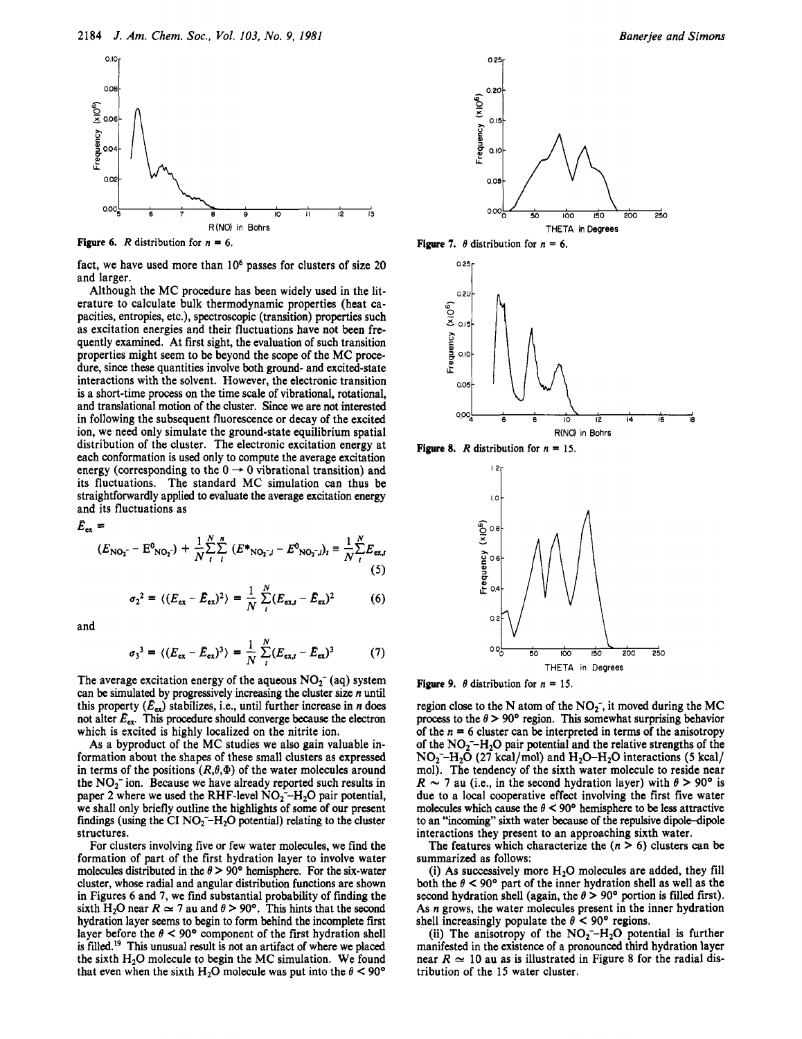

**Figure 6.** *R* distribution for  $n = 6$ .

fact, we have used more than  $10<sup>6</sup>$  passes for clusters of size 20 and larger.

Although the MC procedure has been widely used in the literature to calculate bulk thermodynamic properties (heat capacities, entropies, etc.), spectroscopic (transition) properties such as excitation energies and their fluctuations have not been frequently examined. At first sight, the evaluation of such transition properties might seem to be beyond the scope of the MC procedure, since these quantities involve both ground- and excited-state interactions with the solvent. However, the electronic transition is a short-time process on the time scale of vibrational, rotational, and translational motion of the cluster. Since we are not interested in following the subsequent fluorescence or decay of the excited ion, we need only simulate the ground-state equilibrium spatial distribution of the cluster. The electronic excitation energy at each conformation is used only to compute the average excitation energy (corresponding to the  $0 \rightarrow 0$  vibrational transition) and its fluctuations. The standard MC simulation can thus be straightforwardly applied to evaluate the average excitation energy and its fluctuations as

 $E_{ex}$  =

$$
(E_{\text{NO}_2} - E_{\text{NO}_2}) + \frac{1}{N} \sum_{i}^{N} \sum_{i}^{n} (E^*_{\text{NO}_2 \bar{i},i} - E_{\text{NO}_2 \bar{i},i})_i \equiv \frac{1}{N} \sum_{i}^{N} E_{\text{ex},i}
$$
\n(5)

$$
\sigma_2^2 = \langle (E_{\text{ex}} - \bar{E}_{\text{ex}})^2 \rangle = \frac{1}{N} \sum_{i}^{N} (E_{\text{ex},i} - \bar{E}_{\text{ex}})^2 \tag{6}
$$

and

$$
\sigma_3^3 = \langle (E_{\text{ex}} - \bar{E}_{\text{ex}})^3 \rangle = \frac{1}{N} \sum_{i}^{N} (E_{\text{ex},i} - \bar{E}_{\text{ex}})^3 \tag{7}
$$

The average excitation energy of the aqueous  $NO<sub>2</sub><sup>-</sup>$  (aq) system can be simulated by progressively increasing the cluster size *n* until this property  $(E_{ex})$  stabilizes, i.e., until further increase in *n* does not alter  $E_{ex}$ . This procedure should converge because the electron which is excited is highly localized on the nitrite ion.

As a byproduct of the MC studies we also gain valuable information about the shapes of these small clusters as expressed in terms of the positions  $(R, \theta, \Phi)$  of the water molecules around the  $NO<sub>2</sub><sup>-</sup>$  ion. Because we have already reported such results in paper 2 where we used the RHF-level  $NO<sub>2</sub><sup>-</sup>-H<sub>2</sub>O$  pair potential, we shall only briefly outline the highlights of some of our present findings (using the CI  $NO<sub>2</sub>-H<sub>2</sub>O$  potential) relating to the cluster structures.

For clusters involving five or few water molecules, we find the formation of part of the first hydration layer to involve water molecules distributed in the  $\theta > 90^\circ$  hemisphere. For the six-water cluster, whose radial and angular distribution functions are shown in Figures 6 and **7,** we find substantial probability of finding the sixth  $H_2O$  near  $R \simeq 7$  au and  $\theta > 90^\circ$ . This hints that the second hydration layer *seems* to begin to form behind the incomplete first layer before the  $\theta$  < 90° component of the first hydration shell is filled.19 This unusual result is not an artifact of where we placed the sixth H<sub>2</sub>O molecule to begin the MC simulation. We found that even when the sixth  $H_2O$  molecule was put into the  $\theta < 90^\circ$ 











**Figure 9.**  $\theta$  distribution for  $n = 15$ .

region close to the N atom of the  $NO<sub>2</sub>$ , it moved during the MC process to the  $\theta > 90^{\circ}$  region. This somewhat surprising behavior of the  $n = 6$  cluster can be interpreted in terms of the anisotropy of the  $NO<sub>2</sub>-H<sub>2</sub>O$  pair potential and the relative strengths of the **N02--H20** (27 kcal/mol) and **H20-H20** interactions *(5* kcal/ mol). The tendency of the sixth water molecule to reside near  $R \sim 7$  au (i.e., in the second hydration layer) with  $\theta > 90^{\circ}$  is due to a local cooperative effect involving the first five water molecules which cause the  $\theta$  < 90° hemisphere to be less attractive to an "incoming" sixth water because of the repulsive dipole-dipole interactions they present to an approaching sixth water.

The features which characterize the  $(n \ge 6)$  clusters can be summarized as follows:

(i) As successively more  $H_2O$  molecules are added, they fill both the  $\theta$  < 90° part of the inner hydration shell as well as the second hydration shell (again, the  $\theta > 90^{\circ}$  portion is filled first). As *n* grows, the water molecules present in the inner hydration shell increasingly populate the  $\theta$  < 90° regions.

(ii) The anisotropy of the  $NO<sub>2</sub>-H<sub>2</sub>O$  potential is further manifested in the existence of a pronounced third hydration layer near  $R \simeq 10$  au as is illustrated in Figure 8 for the radial distribution of the 15 water cluster.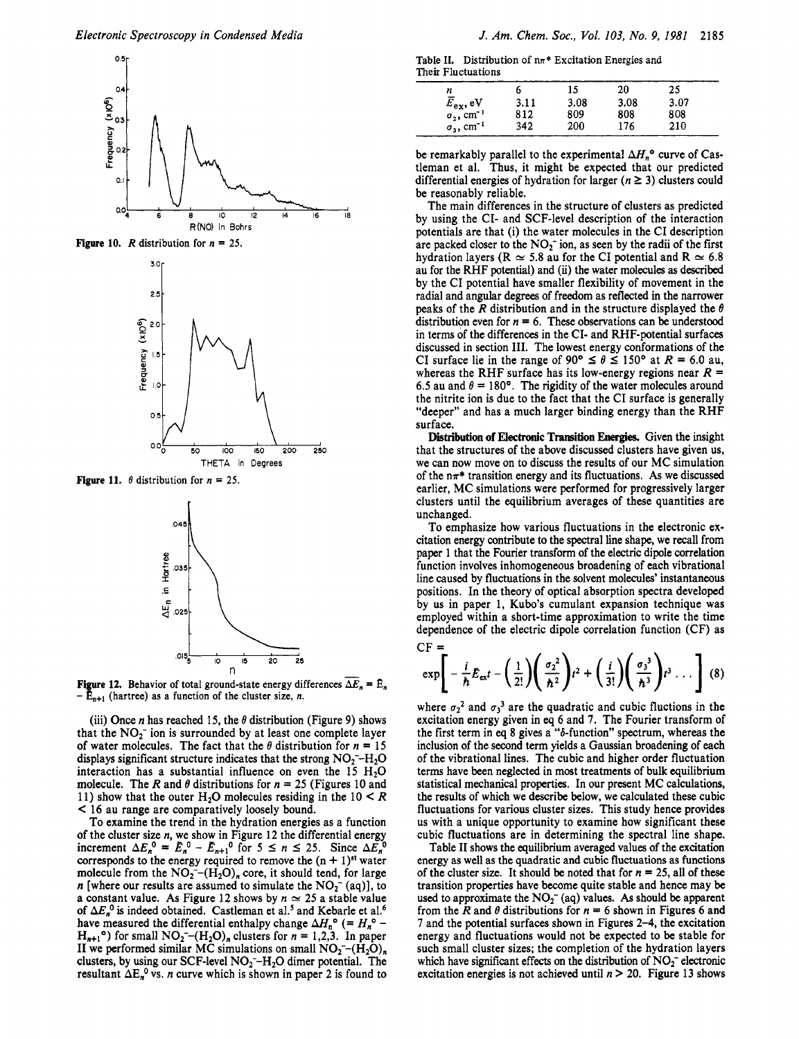

**Figure 10.** *R* distribution for  $n = 25$ .



**Figure 11.**  $\theta$  distribution for  $n = 25$ .



**Figure 12.** Behavior of total ground-state energy differences  $\overline{\Delta E}_n = \overline{E}_n$ .  $-\overline{E}_{n+1}$  (hartree) as a function of the cluster size, *n*.

(iii) Once *n* has reached 15, the  $\theta$  distribution (Figure 9) shows that the  $NO<sub>2</sub>$  ion is surrounded by at least one complete layer of water molecules. The fact that the  $\theta$  distribution for  $n = 15$ displays significant structure indicates that the strong  $NO<sub>2</sub>-H<sub>2</sub>O$ interaction has a substantial influence on even the  $15 H_2O$ molecule. The *R* and  $\theta$  distributions for  $n = 25$  (Figures 10 and 11) show that the outer H<sub>2</sub>O molecules residing in the  $10 \le R$ < 16 au range are comparatively loosely bound.

To examine the trend in the hydration energies as a function of the cluster size *n*, we show in Figure 12 the differential energy increment  $\Delta E_n^0 = E_n^0 - E_{n+1}^0$  for  $5 \le n \le 25$ . Since  $\Delta E_n^0$ corresponds to the energy required to remove the  $(n + 1)$ <sup>st</sup> water molecule from the  $NO_2^--(H_2O)_n$  core, it should tend, for large *n* [where our results are assumed to simulate the  $NO<sub>2</sub><sup>-</sup>$  (aq)], to a constant value. As Figure 12 shows by  $n \approx 25$  a stable value of  $\Delta E_n^0$  is indeed obtained. Castleman et al.<sup>5</sup> and Kebarle et al.<sup>6</sup> have measured the differential enthalpy change  $\Delta H_n^{\circ}$  (=  $H_n^{\circ}$  –  $H_{n+1}$ <sup>o</sup>) for small  $NO_2^-$ - $(H_2O)$ , clusters for  $n = 1,2,3$ . In paper **II** we performed similar MC simulations on small  $NO_2 - (H_2O)$ , clusters, by using our SCF-level **NO2--H20** dimer potential. The resultant  $\Delta E_n^0$  vs. *n* curve which is shown in paper 2 is found to

Table II. Distribution of  $n\pi$ <sup>\*</sup> Excitation Energies and Their Fluctuations

| n                                                                             |      | 15   | 20   | 25   |  |
|-------------------------------------------------------------------------------|------|------|------|------|--|
|                                                                               | 3.11 | 3.08 | 3.08 | 3.07 |  |
| $\overline{E}_{\texttt{ex}}$ , eV<br>$\sigma$ <sub>2</sub> , cm <sup>-1</sup> | 812  | 809  | 808  | 808  |  |
| $\sigma_3$ , cm <sup>-1</sup>                                                 | 342  | 200  | 176  | 210  |  |

be remarkably parallel to the experimental  $\Delta H_n^{\circ}$  curve of Castleman et al. Thus, it might be expected that **our** predicted differential energies of hydration for larger  $(n \geq 3)$  clusters could be reasonably reliable.

The main differences in the structure of clusters as predicted by using the CI- and SCF-level description of the interaction potentials are that (i) the water molecules in the CI description are packed closer to the  $NO_2^-$  ion, as seen by the radii of the first hydration layers (R  $\simeq$  5.8 au for the CI potential and R  $\simeq$  6.8 au for the RHF potential) and (ii) the water molecules as described by the CI potential have smaller flexibility of movement in the radial and angular degrees of freedom as reflected in the narrower peaks of the  $\overline{R}$  distribution and in the structure displayed the  $\theta$ distribution even for  $n = 6$ . These observations can be understood in terms of the differences in the CI- and RHF-potential surfaces discussed in section 111. The lowest energy conformations of the CI surface lie in the range of  $90^{\circ} \le \theta \le 150^{\circ}$  at  $R = 6.0$  au, whereas the RHF surface has its low-energy regions near  $R =$ 6.5 au and  $\theta = 180^{\circ}$ . The rigidity of the water molecules around the nitrite ion is due to the fact that the CI surface is generally "deeper" and has a much larger binding energy than the RHF surface.

**Distribution of Electronic Tramition Energies** Given the insight that the structures of the above discussed clusters have given **us,**  we can now move **on** to discuss the results of our MC simulation of the  $n\pi^*$  transition energy and its fluctuations. As we discussed earlier, MC simulations were performed for progressively larger clusters until the equilibrium averages of these quantities are unchanged.

To emphasize how various fluctuations in the electronic excitation energy contribute to the spectral line shape, we recall from **paper** 1 that the Fourier transform of the electric dipole correlation function involves inhomogeneous broadening of each vibrational line caused by fluctuations in the solvent molecules' instantaneous positions. In the theory of optical absorption spectra developed by us in paper 1, **Kubo's** cumulant expansion technique was employed within a short-time approximation to write the time dependence of the electric dipole correlation function (CF) as  $CF =$ 

$$
\exp\left[-\frac{i}{\hbar}E_{\text{ext}}t-\left(\frac{1}{2!}\right)\left(\frac{\sigma_2^2}{\hbar^2}\right)t^2+\left(\frac{i}{3!}\right)\left(\frac{\sigma_3^3}{\hbar^3}\right)t^3\ldots\right](8)
$$

where  $\sigma_2^2$  and  $\sigma_3^3$  are the quadratic and cubic fluctions in the excitation energy given in eq 6 and **7.** The Fourier transform of the first term in eq 8 gives a " $\delta$ -function" spectrum, whereas the inclusion of the second term yields a Gaussian broadening of each of the vibrational lines. The cubic and higher order fluctuation terms have **been** neglected in most treatments of bulk equilibrium statistical mechanical properties. In our present MC calculations, the results of which we describe below, we calculated these cubic fluctuations for various cluster sizes. This study hence provides **us** with a unique opportunity to examine how significant these cubic fluctuations are in determining the spectral line shape.

Table I1 shows the equilibrium averaged values of the excitation energy as well as the quadratic and cubic fluctuations as functions of the cluster size. It should be noted that for  $n = 25$ , all of these transition properties have become quite stable and hence may be used to approximate the  $NO_2^-$  (aq) values. As should be apparent from the *R* and  $\theta$  distributions for  $n = 6$  shown in Figures 6 and **7** and the potential surfaces shown in Figures **2-4,** the excitation energy and fluctuations would not be expected to be stable for such small cluster sizes; the completion of the hydration layers which have significant effects on the distribution of  $NO<sub>2</sub>$ <sup>-</sup> electronic excitation energies is not achieved until  $n > 20$ . Figure 13 shows